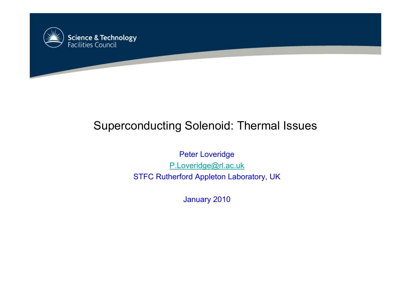

# Superconducting Solenoid: Thermal Issues

Peter Loveridge P.Loveridge@rl.ac.uk STFC Rutherford Appleton Laboratory, UK

January 2010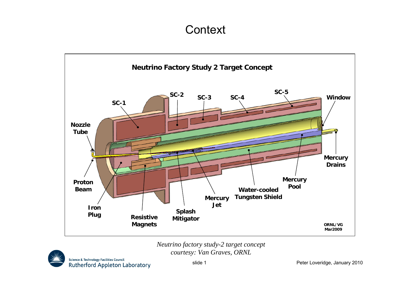### **Context**



*Neutrino factory study-2 target concept courtesy: Van Graves, ORNL*

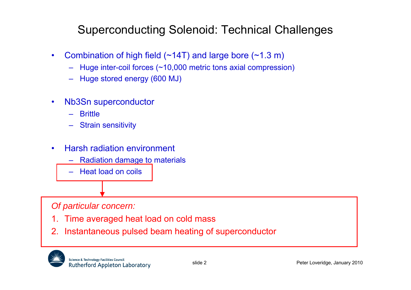## Superconducting Solenoid: Technical Challenges

- $\bullet$  Combination of high field (~14T) and large bore (~1.3 m)
	- –Huge inter-coil forces (~10,000 metric tons axial compression)
	- Huge stored energy (600 MJ)
- • Nb3Sn superconductor
	- –**Brittle**
	- Strain sensitivity
- • Harsh radiation environment
	- –Radiation damage to materials
	- Heat load on coils

### *Of particular concern:*

- 1.Time averaged heat load on cold mass
- 2. Instantaneous pulsed beam heating of superconductor

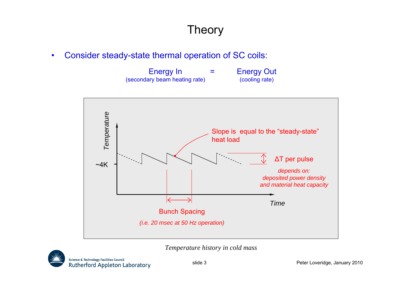$\bullet$ Consider steady-state thermal operation of SC coils:

| Energy In                     | $\sim$ | <b>Energy Out</b> |
|-------------------------------|--------|-------------------|
| (secondary beam heating rate) |        | (cooling rate)    |



*Temperature history in cold mass*

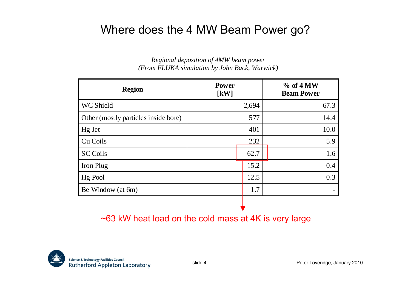### Where does the 4 MW Beam Power go?

### *Regional deposition of 4MW beam power (From FLUKA simulation by John Back, Warwick)*

| <b>Region</b>                        | <b>Power</b><br>$\left[\mathrm{kW}\right]$ | $%$ of 4 MW<br><b>Beam Power</b> |
|--------------------------------------|--------------------------------------------|----------------------------------|
| WC Shield                            | 2,694                                      | 67.3                             |
| Other (mostly particles inside bore) | 577                                        | 14.4                             |
| Hg Jet                               | 401                                        | 10.0                             |
| Cu Coils                             | 232                                        | 5.9                              |
| <b>SC Coils</b>                      | 62.7                                       | 1.6                              |
| Iron Plug                            | 15.2                                       | 0.4                              |
| Hg Pool                              | 12.5                                       | 0.3                              |
| Be Window (at 6m)                    | 1.7                                        |                                  |

~63 kW heat load on the cold mass at 4K is very large

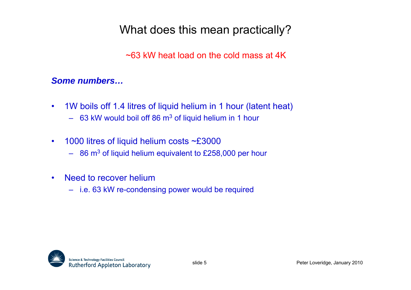### What does this mean practically?

~63 kW heat load on the cold mass at 4K

### *Some numbers…*

- $\bullet$  1W boils off 1.4 litres of liquid helium in 1 hour (latent heat) – 63 kW would boil off 86 m 3 of liquid helium in 1 hour
- $\bullet$ 1000 litres of liquid helium costs ~£3000
	- $-$  86 m<sup>3</sup> of liquid helium equivalent to £258,000 per hour
- • Need to recover helium
	- i.e. 63 kW re-condensing power would be required

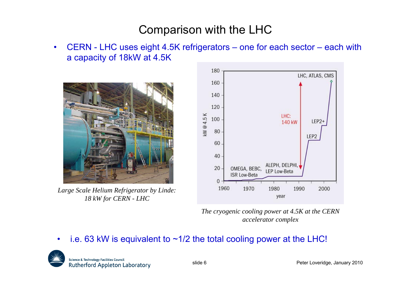### Comparison with the LHC

• CERN - LHC uses eight 4.5K refrigerators – one for each sector – each with a capacity of 18kW at 4.5K



*Large Scale Helium Refrigerator by Linde: 18 kW for CERN - LHC*



*The cryogenic cooling power at 4.5K at the CERN accelerator complex*

#### •i.e. 63 kW is equivalent to  $\sim 1/2$  the total cooling power at the LHC!

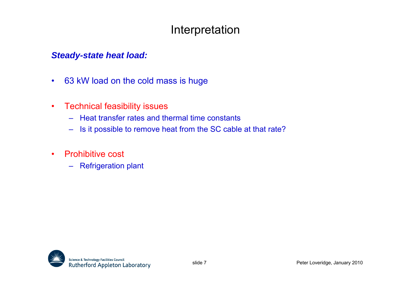### Interpretation

### *Steady-state heat load:*

- $\bullet$ 63 kW load on the cold mass is huge
- • Technical feasibility issues
	- Heat transfer rates and thermal time constants
	- –Is it possible to remove heat from the SC cable at that rate?
- $\bullet$  Prohibitive cost
	- Refrigeration plant

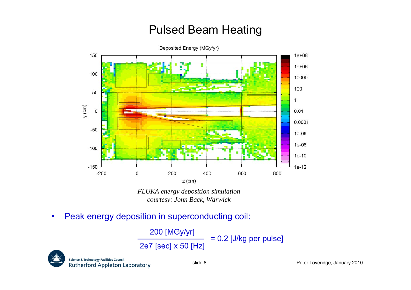## Pulsed Beam Heating



*FLUKA energy deposition simulation courtesy: John Back, Warwick*

 $\bullet$ Peak energy deposition in superconducting coil:

> 200 [MGy/yr] 2e7 [sec] x 50 [Hz] = 0.2 [J/kg per pulse]

Science & Technology Facilities Council **Rutherford Appleton Laboratory**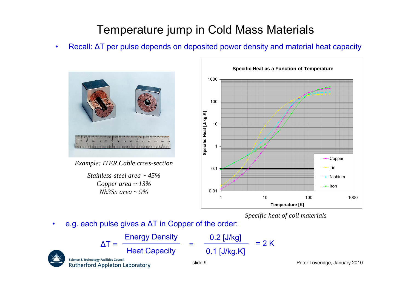## Temperature jump in Cold Mass Materials

•• Recall: ΔT per pulse depends on deposited power density and material heat capacity



*Example: ITER Cable cross-section*

*Stainless-steel area ~ 45%Copper area ~ 13% Nb3Sn area ~ 9%*



*Specific heat of coil materials*

•• e.g. each pulse gives a  $\Delta T$  in Copper of the order:

$$
\Delta T = \frac{\text{Energy Density}}{\text{Heat Capacity}} = \frac{0.2 \text{ [J/kg]}}{0.1 \text{ [J/kg.K]}} = 2 \text{ K}
$$
\n
$$
\text{Stience & Technology Facilities Council} = 2 \text{ K}
$$
\n
$$
\text{Rutherford Application Laboratory} = 2 \text{ K}
$$
\n
$$
\text{Side 9}
$$

Peter Loveridge, January 2010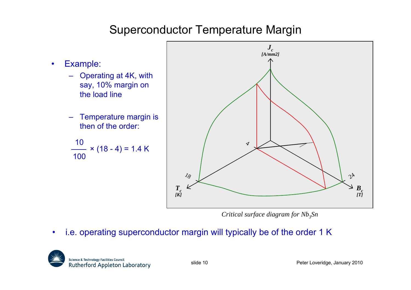## Superconductor Temperature Margin

- • Example:
	- Operating at 4K, with say, 10% margin on the load line
	- – Temperature margin is then of the order:

10 × (18 - 4) = 1.4 K 100



*Critical surface diagram for Nb<sub>3</sub>Sn* 

•i.e. operating superconductor margin will typically be of the order 1 K

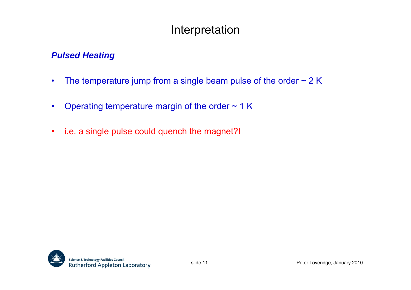### Interpretation

### *Pulsed Heating*

- •The temperature jump from a single beam pulse of the order  $\sim$  2 K
- $\bullet$ Operating temperature margin of the order  $\sim$  1 K
- •i.e. a single pulse could quench the magnet?!